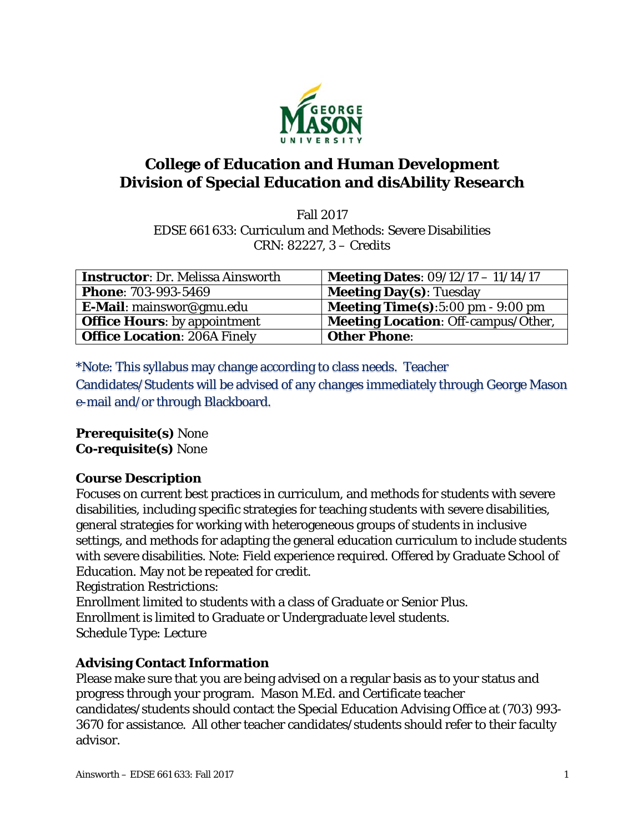

# **College of Education and Human Development Division of Special Education and disAbility Research**

Fall 2017 EDSE 661 633: Curriculum and Methods: Severe Disabilities CRN: 82227, 3 – Credits

| <b>Instructor: Dr. Melissa Ainsworth</b> | <b>Meeting Dates:</b> $09/12/17 - 11/14/17$ |
|------------------------------------------|---------------------------------------------|
| <b>Phone: 703-993-5469</b>               | <b>Meeting Day(s): Tuesday</b>              |
| E-Mail: mainswor@gmu.edu                 | <b>Meeting Time(s)</b> :5:00 pm $-9:00$ pm  |
| <b>Office Hours:</b> by appointment      | <b>Meeting Location: Off-campus/Other,</b>  |
| <b>Office Location: 206A Finely</b>      | <b>Other Phone:</b>                         |

\*Note: This syllabus may change according to class needs. Teacher Candidates/Students will be advised of any changes immediately through George Mason e-mail and/or through Blackboard.

**Prerequisite(s)** None **Co-requisite(s)** None

# **Course Description**

Focuses on current best practices in curriculum, and methods for students with severe disabilities, including specific strategies for teaching students with severe disabilities, general strategies for working with heterogeneous groups of students in inclusive settings, and methods for adapting the general education curriculum to include students with severe disabilities. Note: Field experience required. Offered by Graduate School of Education. May not be repeated for credit.

Registration Restrictions:

Enrollment limited to students with a class of Graduate or Senior Plus.

Enrollment is limited to Graduate or Undergraduate level students.

Schedule Type: Lecture

# **Advising Contact Information**

Please make sure that you are being advised on a regular basis as to your status and progress through your program. Mason M.Ed. and Certificate teacher candidates/students should contact the Special Education Advising Office at (703) 993- 3670 for assistance. All other teacher candidates/students should refer to their faculty advisor.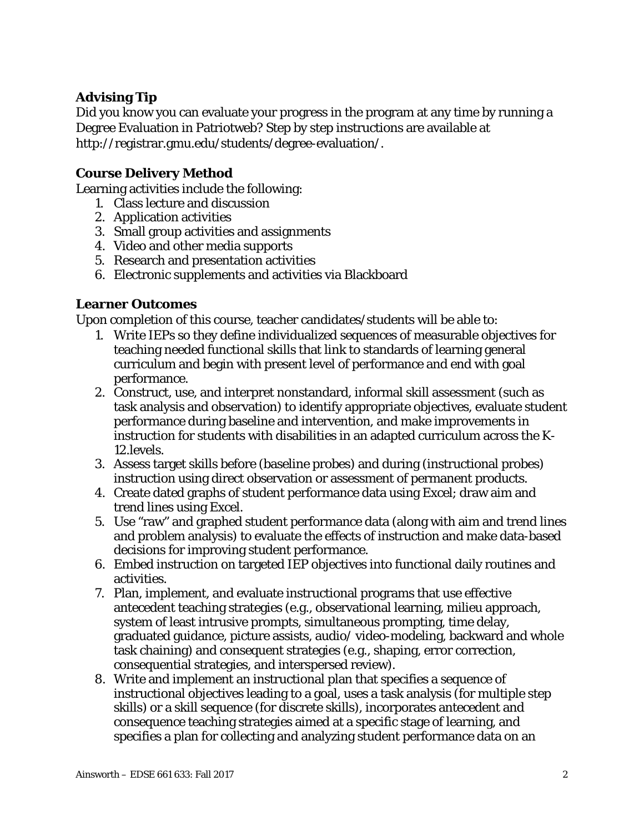## **Advising Tip**

Did you know you can evaluate your progress in the program at any time by running a Degree Evaluation in Patriotweb? Step by step instructions are available at http://registrar.gmu.edu/students/degree-evaluation/.

### **Course Delivery Method**

Learning activities include the following:

- 1. Class lecture and discussion
- 2. Application activities
- 3. Small group activities and assignments
- 4. Video and other media supports
- 5. Research and presentation activities
- 6. Electronic supplements and activities via Blackboard

### **Learner Outcomes**

Upon completion of this course, teacher candidates/students will be able to:

- 1. Write IEPs so they define individualized sequences of measurable objectives for teaching needed functional skills that link to standards of learning general curriculum and begin with present level of performance and end with goal performance.
- 2. Construct, use, and interpret nonstandard, informal skill assessment (such as task analysis and observation) to identify appropriate objectives, evaluate student performance during baseline and intervention, and make improvements in instruction for students with disabilities in an adapted curriculum across the K-12.levels.
- 3. Assess target skills before (baseline probes) and during (instructional probes) instruction using direct observation or assessment of permanent products.
- 4. Create dated graphs of student performance data using Excel; draw aim and trend lines using Excel.
- 5. Use "raw" and graphed student performance data (along with aim and trend lines and problem analysis) to evaluate the effects of instruction and make data-based decisions for improving student performance.
- 6. Embed instruction on targeted IEP objectives into functional daily routines and activities.
- 7. Plan, implement, and evaluate instructional programs that use effective antecedent teaching strategies (e.g., observational learning, milieu approach, system of least intrusive prompts, simultaneous prompting, time delay, graduated guidance, picture assists, audio/ video-modeling, backward and whole task chaining) and consequent strategies (e.g., shaping, error correction, consequential strategies, and interspersed review).
- 8. Write and implement an instructional plan that specifies a sequence of instructional objectives leading to a goal, uses a task analysis (for multiple step skills) or a skill sequence (for discrete skills), incorporates antecedent and consequence teaching strategies aimed at a specific stage of learning, and specifies a plan for collecting and analyzing student performance data on an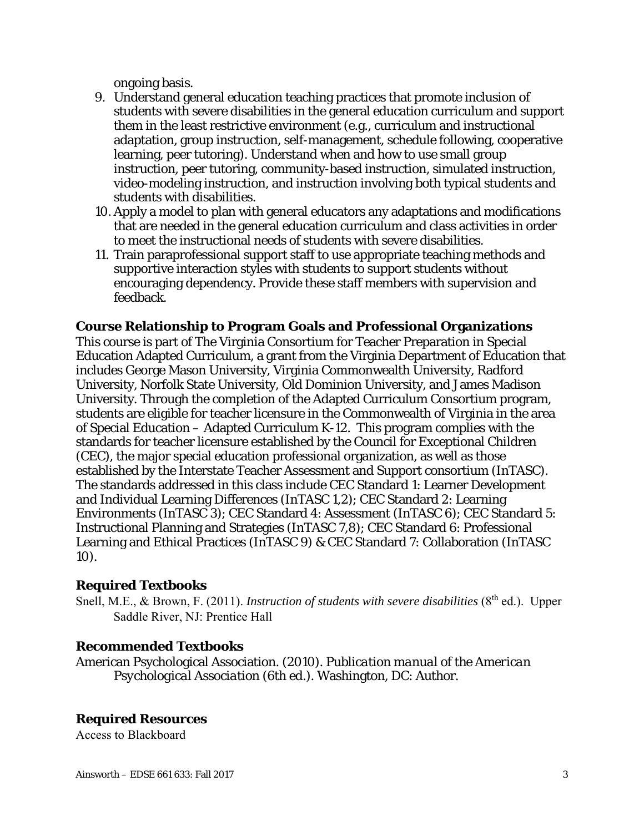ongoing basis.

- 9. Understand general education teaching practices that promote inclusion of students with severe disabilities in the general education curriculum and support them in the least restrictive environment (e.g., curriculum and instructional adaptation, group instruction, self-management, schedule following, cooperative learning, peer tutoring). Understand when and how to use small group instruction, peer tutoring, community-based instruction, simulated instruction, video-modeling instruction, and instruction involving both typical students and students with disabilities.
- 10. Apply a model to plan with general educators any adaptations and modifications that are needed in the general education curriculum and class activities in order to meet the instructional needs of students with severe disabilities.
- 11. Train paraprofessional support staff to use appropriate teaching methods and supportive interaction styles with students to support students without encouraging dependency. Provide these staff members with supervision and feedback.

### **Course Relationship to Program Goals and Professional Organizations**

This course is part of The Virginia Consortium for Teacher Preparation in Special Education Adapted Curriculum, a grant from the Virginia Department of Education that includes George Mason University, Virginia Commonwealth University, Radford University, Norfolk State University, Old Dominion University, and James Madison University. Through the completion of the Adapted Curriculum Consortium program, students are eligible for teacher licensure in the Commonwealth of Virginia in the area of Special Education – Adapted Curriculum K-12. This program complies with the standards for teacher licensure established by the Council for Exceptional Children (CEC), the major special education professional organization, as well as those established by the Interstate Teacher Assessment and Support consortium (InTASC). The standards addressed in this class include CEC Standard 1: Learner Development and Individual Learning Differences (InTASC 1,2); CEC Standard 2: Learning Environments (InTASC 3); CEC Standard 4: Assessment (InTASC 6); CEC Standard 5: Instructional Planning and Strategies (InTASC 7,8); CEC Standard 6: Professional Learning and Ethical Practices (InTASC 9) & CEC Standard 7: Collaboration (InTASC 10).

## **Required Textbooks**

Snell, M.E., & Brown, F. (2011). *Instruction of students with severe disabilities* (8<sup>th</sup> ed.). Upper Saddle River, NJ: Prentice Hall

#### **Recommended Textbooks**

American Psychological Association*. (2010). Publication manual of the American Psychological Association* (6th ed.). Washington, DC: Author.

## **Required Resources**

Access to Blackboard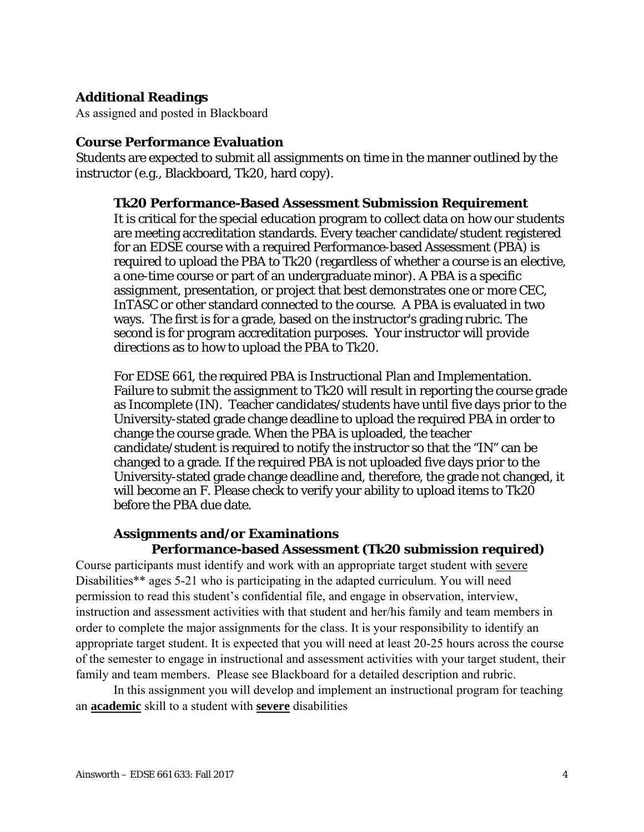## **Additional Readings**

As assigned and posted in Blackboard

#### **Course Performance Evaluation**

Students are expected to submit all assignments on time in the manner outlined by the instructor (e.g., Blackboard, Tk20, hard copy).

#### **Tk20 Performance-Based Assessment Submission Requirement**

It is critical for the special education program to collect data on how our students are meeting accreditation standards. Every teacher candidate/student registered for an EDSE course with a required Performance-based Assessment (PBA) is required to upload the PBA to Tk20 (regardless of whether a course is an elective, a one-time course or part of an undergraduate minor). A PBA is a specific assignment, presentation, or project that best demonstrates one or more CEC, InTASC or other standard connected to the course. A PBA is evaluated in two ways. The first is for a grade, based on the instructor's grading rubric. The second is for program accreditation purposes. Your instructor will provide directions as to how to upload the PBA to Tk20.

For EDSE 661, the required PBA is Instructional Plan and Implementation. Failure to submit the assignment to Tk20 will result in reporting the course grade as Incomplete (IN). Teacher candidates/students have until five days prior to the University-stated grade change deadline to upload the required PBA in order to change the course grade. When the PBA is uploaded, the teacher candidate/student is required to notify the instructor so that the "IN" can be changed to a grade. If the required PBA is not uploaded five days prior to the University-stated grade change deadline and, therefore, the grade not changed, it will become an F. Please check to verify your ability to upload items to Tk20 before the PBA due date.

## **Assignments and/or Examinations**

#### **Performance-based Assessment (Tk20 submission required)**

Course participants must identify and work with an appropriate target student with severe Disabilities\*\* ages 5-21 who is participating in the adapted curriculum. You will need permission to read this student's confidential file, and engage in observation, interview, instruction and assessment activities with that student and her/his family and team members in order to complete the major assignments for the class. It is your responsibility to identify an appropriate target student. It is expected that you will need at least 20-25 hours across the course of the semester to engage in instructional and assessment activities with your target student, their family and team members. Please see Blackboard for a detailed description and rubric.

In this assignment you will develop and implement an instructional program for teaching an **academic** skill to a student with **severe** disabilities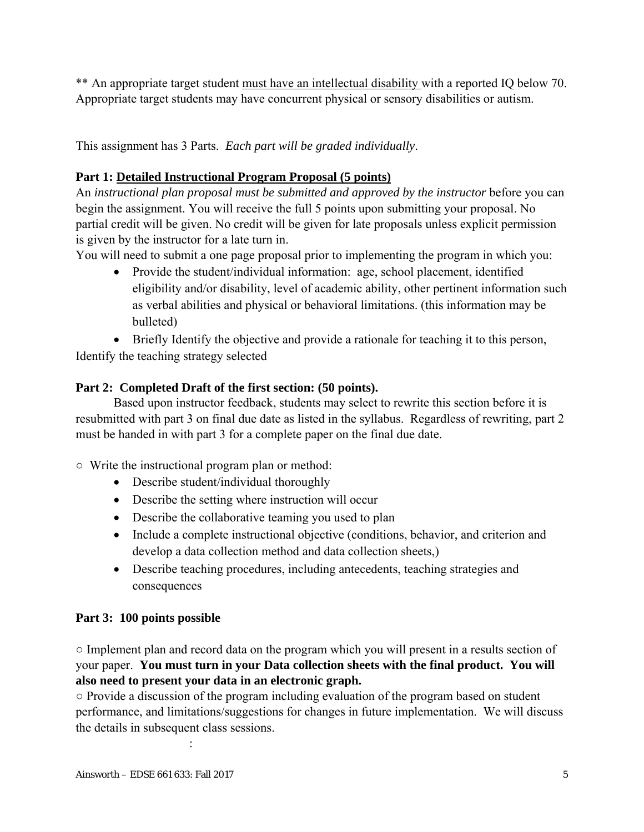\*\* An appropriate target student must have an intellectual disability with a reported IQ below 70. Appropriate target students may have concurrent physical or sensory disabilities or autism.

This assignment has 3 Parts. *Each part will be graded individually*.

# **Part 1: Detailed Instructional Program Proposal (5 points)**

An *instructional plan proposal must be submitted and approved by the instructor* before you can begin the assignment. You will receive the full 5 points upon submitting your proposal. No partial credit will be given. No credit will be given for late proposals unless explicit permission is given by the instructor for a late turn in.

You will need to submit a one page proposal prior to implementing the program in which you:

• Provide the student/individual information: age, school placement, identified eligibility and/or disability, level of academic ability, other pertinent information such as verbal abilities and physical or behavioral limitations. (this information may be bulleted)

Briefly Identify the objective and provide a rationale for teaching it to this person,

Identify the teaching strategy selected

# **Part 2: Completed Draft of the first section: (50 points).**

Based upon instructor feedback, students may select to rewrite this section before it is resubmitted with part 3 on final due date as listed in the syllabus. Regardless of rewriting, part 2 must be handed in with part 3 for a complete paper on the final due date.

○ Write the instructional program plan or method:

- Describe student/individual thoroughly
- Describe the setting where instruction will occur
- Describe the collaborative teaming you used to plan
- Include a complete instructional objective (conditions, behavior, and criterion and develop a data collection method and data collection sheets,)
- Describe teaching procedures, including antecedents, teaching strategies and consequences

# **Part 3: 100 points possible**

○ Implement plan and record data on the program which you will present in a results section of your paper. **You must turn in your Data collection sheets with the final product. You will also need to present your data in an electronic graph.** 

○ Provide a discussion of the program including evaluation of the program based on student performance, and limitations/suggestions for changes in future implementation. We will discuss the details in subsequent class sessions.

Ainsworth – EDSE 661 633: Fall 2017 5

**Service State State**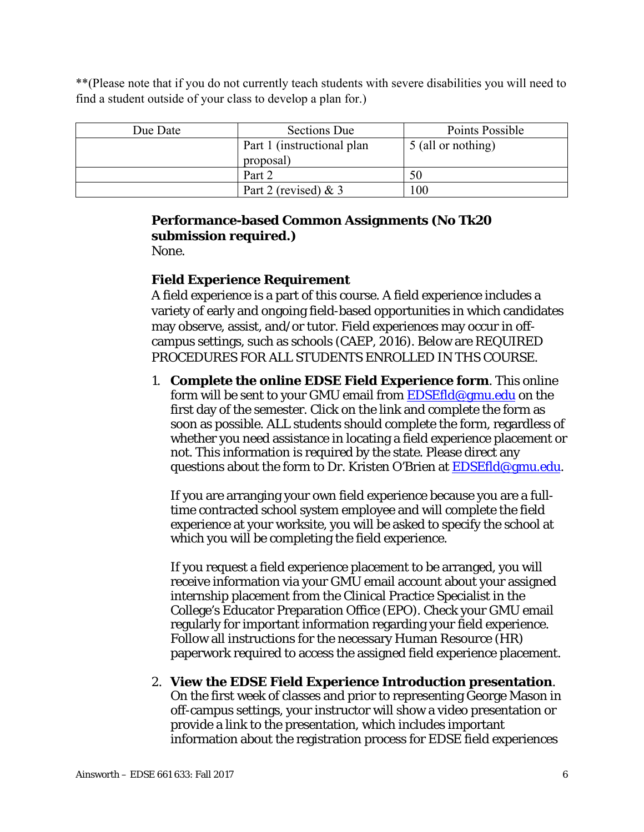\*\*(Please note that if you do not currently teach students with severe disabilities you will need to find a student outside of your class to develop a plan for.)

| Due Date | Sections Due                | Points Possible    |
|----------|-----------------------------|--------------------|
|          | Part 1 (instructional plan) | 5 (all or nothing) |
|          | proposal)                   |                    |
|          | Part 2                      | 50                 |
|          | Part 2 (revised) $& 3$      | 100                |

# **Performance-based Common Assignments (No Tk20 submission required.)**

None.

## **Field Experience Requirement**

A field experience is a part of this course. A field experience includes a variety of early and ongoing field-based opportunities in which candidates may observe, assist, and/or tutor. Field experiences may occur in offcampus settings, such as schools (CAEP, 2016). Below are REQUIRED PROCEDURES FOR ALL STUDENTS ENROLLED IN THS COURSE.

1. **Complete the online EDSE Field Experience form**. This online form will be sent to your GMU email from EDSEfld@gmu.edu on the first day of the semester. Click on the link and complete the form as soon as possible. ALL students should complete the form, regardless of whether you need assistance in locating a field experience placement or not. This information is required by the state. Please direct any questions about the form to Dr. Kristen O'Brien at **EDSEfld@gmu.edu.** 

If you are arranging your own field experience because you are a fulltime contracted school system employee and will complete the field experience at your worksite, you will be asked to specify the school at which you will be completing the field experience.

If you request a field experience placement to be arranged, you will receive information via your GMU email account about your assigned internship placement from the Clinical Practice Specialist in the College's Educator Preparation Office (EPO). Check your GMU email regularly for important information regarding your field experience. Follow all instructions for the necessary Human Resource (HR) paperwork required to access the assigned field experience placement.

#### 2. **View the EDSE Field Experience Introduction presentation**.

On the first week of classes and prior to representing George Mason in off-campus settings, your instructor will show a video presentation or provide a link to the presentation, which includes important information about the registration process for EDSE field experiences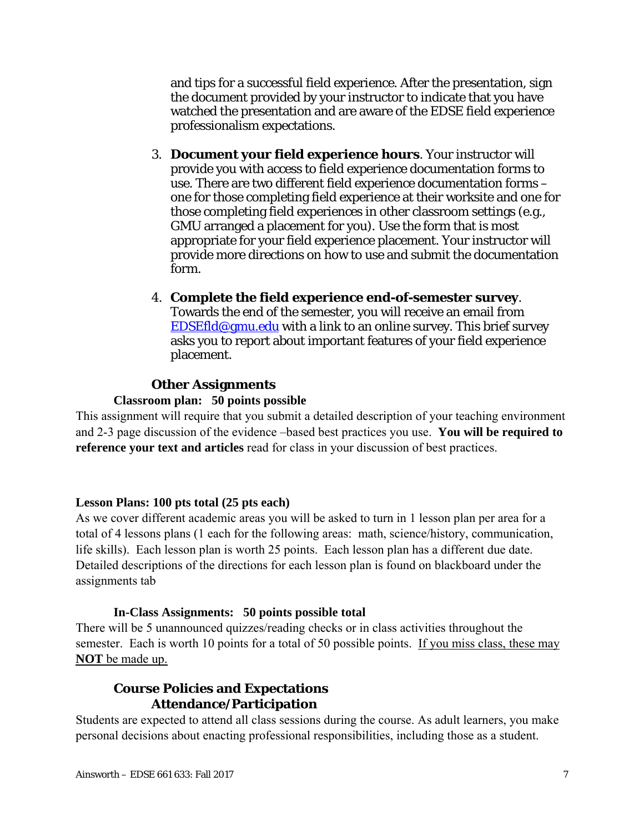and tips for a successful field experience. After the presentation, sign the document provided by your instructor to indicate that you have watched the presentation and are aware of the EDSE field experience professionalism expectations.

- 3. **Document your field experience hours**. Your instructor will provide you with access to field experience documentation forms to use. There are two different field experience documentation forms – one for those completing field experience at their worksite and one for those completing field experiences in other classroom settings (e.g., GMU arranged a placement for you). Use the form that is most appropriate for your field experience placement. Your instructor will provide more directions on how to use and submit the documentation form.
- 4. **Complete the field experience end-of-semester survey**. Towards the end of the semester, you will receive an email from EDSEfld@gmu.edu with a link to an online survey. This brief survey asks you to report about important features of your field experience placement.

#### **Other Assignments**

#### **Classroom plan: 50 points possible**

This assignment will require that you submit a detailed description of your teaching environment and 2-3 page discussion of the evidence –based best practices you use. **You will be required to reference your text and articles** read for class in your discussion of best practices.

#### **Lesson Plans: 100 pts total (25 pts each)**

As we cover different academic areas you will be asked to turn in 1 lesson plan per area for a total of 4 lessons plans (1 each for the following areas: math, science/history, communication, life skills). Each lesson plan is worth 25 points. Each lesson plan has a different due date. Detailed descriptions of the directions for each lesson plan is found on blackboard under the assignments tab

#### **In-Class Assignments: 50 points possible total**

There will be 5 unannounced quizzes/reading checks or in class activities throughout the semester. Each is worth 10 points for a total of 50 possible points. If you miss class, these may **NOT** be made up.

### **Course Policies and Expectations Attendance/Participation**

Students are expected to attend all class sessions during the course. As adult learners, you make personal decisions about enacting professional responsibilities, including those as a student.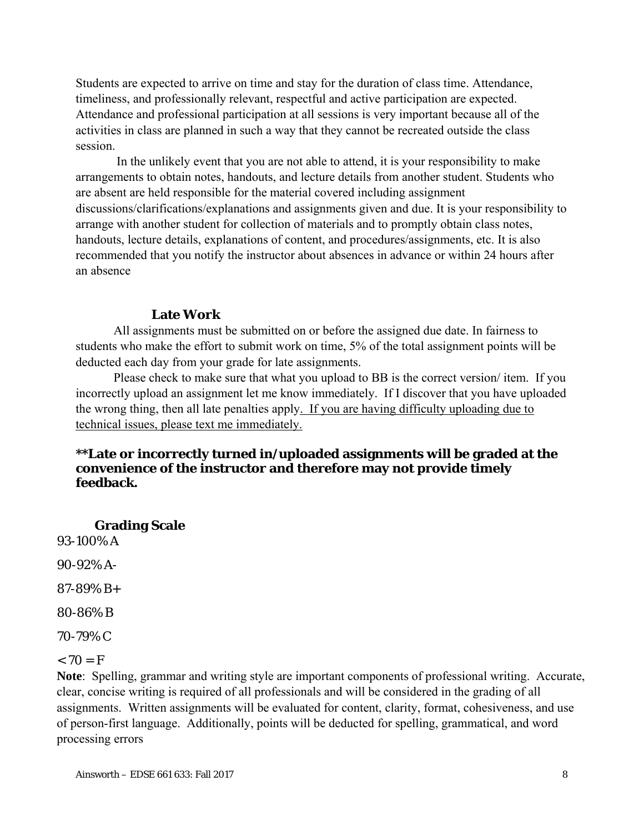Students are expected to arrive on time and stay for the duration of class time. Attendance, timeliness, and professionally relevant, respectful and active participation are expected. Attendance and professional participation at all sessions is very important because all of the activities in class are planned in such a way that they cannot be recreated outside the class session.

 In the unlikely event that you are not able to attend, it is your responsibility to make arrangements to obtain notes, handouts, and lecture details from another student. Students who are absent are held responsible for the material covered including assignment discussions/clarifications/explanations and assignments given and due. It is your responsibility to arrange with another student for collection of materials and to promptly obtain class notes, handouts, lecture details, explanations of content, and procedures/assignments, etc. It is also recommended that you notify the instructor about absences in advance or within 24 hours after an absence

#### **Late Work**

All assignments must be submitted on or before the assigned due date. In fairness to students who make the effort to submit work on time, 5% of the total assignment points will be deducted each day from your grade for late assignments.

Please check to make sure that what you upload to BB is the correct version/ item. If you incorrectly upload an assignment let me know immediately. If I discover that you have uploaded the wrong thing, then all late penalties apply. If you are having difficulty uploading due to technical issues, please text me immediately.

#### **\*\*Late or incorrectly turned in/uploaded assignments will be graded at the convenience of the instructor and therefore may not provide timely feedback.**

**Grading Scale** 

93-100% A

90-92% A-

87-89% B+

80-86% B

70-79% C

 $< 70 = F$ 

**Note**: Spelling, grammar and writing style are important components of professional writing. Accurate, clear, concise writing is required of all professionals and will be considered in the grading of all assignments. Written assignments will be evaluated for content, clarity, format, cohesiveness, and use of person-first language. Additionally, points will be deducted for spelling, grammatical, and word processing errors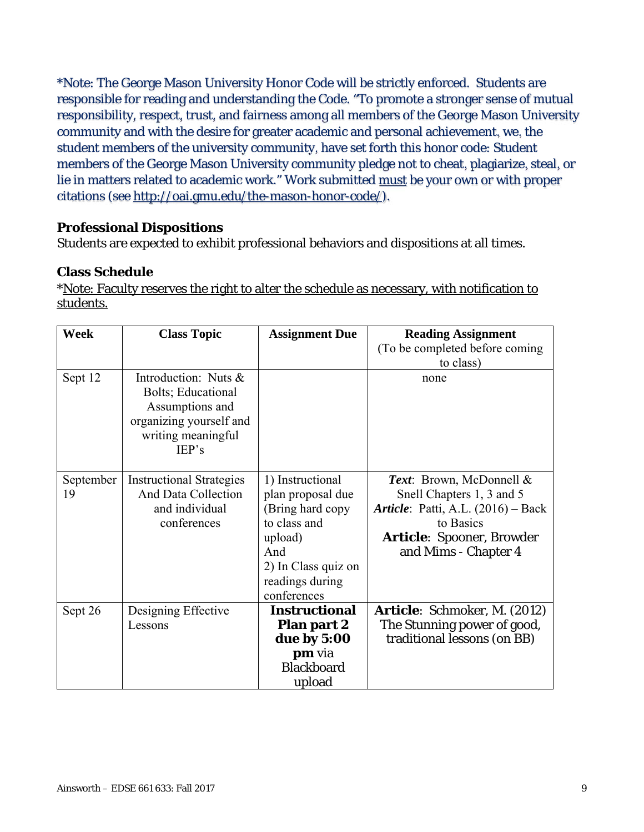\*Note: The George Mason University Honor Code will be strictly enforced. Students are responsible for reading and understanding the Code. "To promote a stronger sense of mutual responsibility, respect, trust, and fairness among all members of the George Mason University community and with the desire for greater academic and personal achievement, we, the student members of the university community, have set forth this honor code: Student members of the George Mason University community pledge not to cheat, plagiarize, steal, or lie in matters related to academic work." Work submitted must be your own or with proper citations (see http://oai.gmu.edu/the-mason-honor-code/).

### **Professional Dispositions**

Students are expected to exhibit professional behaviors and dispositions at all times.

### **Class Schedule**

\*Note: Faculty reserves the right to alter the schedule as necessary, with notification to students.

| <b>Week</b>     | <b>Class Topic</b>                                                                                                      | <b>Assignment Due</b>                                                                                                                                 | <b>Reading Assignment</b>                                                                                                                                                    |
|-----------------|-------------------------------------------------------------------------------------------------------------------------|-------------------------------------------------------------------------------------------------------------------------------------------------------|------------------------------------------------------------------------------------------------------------------------------------------------------------------------------|
|                 |                                                                                                                         |                                                                                                                                                       | (To be completed before coming)                                                                                                                                              |
|                 |                                                                                                                         |                                                                                                                                                       | to class)                                                                                                                                                                    |
| Sept 12         | Introduction: Nuts &<br>Bolts; Educational<br>Assumptions and<br>organizing yourself and<br>writing meaningful<br>IEP's |                                                                                                                                                       | none                                                                                                                                                                         |
| September<br>19 | <b>Instructional Strategies</b><br><b>And Data Collection</b><br>and individual<br>conferences                          | 1) Instructional<br>plan proposal due<br>(Bring hard copy)<br>to class and<br>upload)<br>And<br>2) In Class quiz on<br>readings during<br>conferences | Text: Brown, McDonnell &<br>Snell Chapters 1, 3 and 5<br><b>Article</b> : Patti, A.L. (2016) – Back<br>to Basics<br><b>Article:</b> Spooner, Browder<br>and Mims - Chapter 4 |
| Sept 26         | Designing Effective<br>Lessons                                                                                          | <b>Instructional</b><br><b>Plan part 2</b><br>due by 5:00<br><b>pm</b> via<br><b>Blackboard</b><br>upload                                             | <b>Article:</b> Schmoker, M. (2012)<br>The Stunning power of good,<br>traditional lessons (on BB)                                                                            |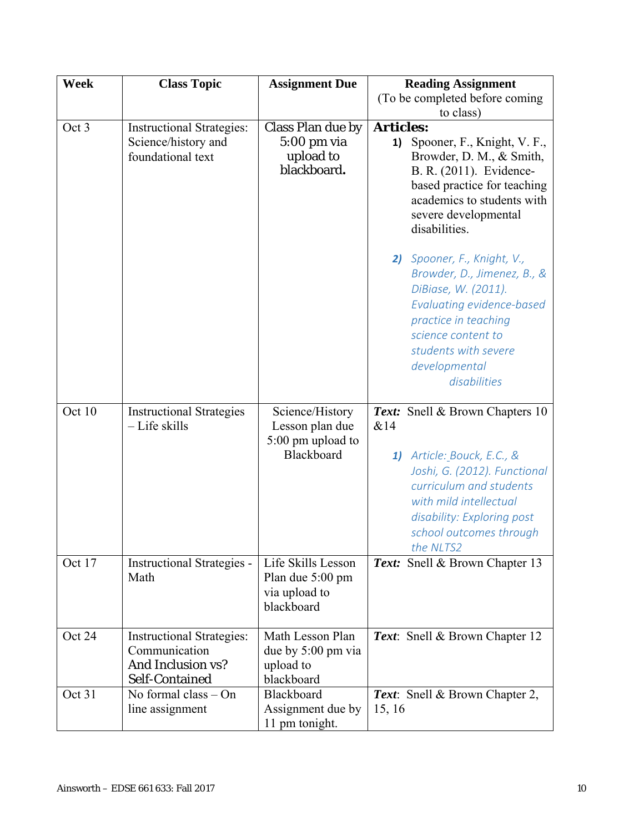| <b>Week</b> | <b>Class Topic</b>                                                                       | <b>Assignment Due</b>                                                       | <b>Reading Assignment</b>                                                                                                                                                                                                       |
|-------------|------------------------------------------------------------------------------------------|-----------------------------------------------------------------------------|---------------------------------------------------------------------------------------------------------------------------------------------------------------------------------------------------------------------------------|
|             |                                                                                          |                                                                             | (To be completed before coming                                                                                                                                                                                                  |
|             |                                                                                          |                                                                             | to class)                                                                                                                                                                                                                       |
| Oct 3       | <b>Instructional Strategies:</b><br>Science/history and<br>foundational text             | Class Plan due by<br>$5:00$ pm via<br>upload to<br>blackboard.              | <b>Articles:</b><br>Spooner, F., Knight, V. F.,<br>1)<br>Browder, D. M., & Smith,<br>B. R. (2011). Evidence-<br>based practice for teaching<br>academics to students with<br>severe developmental<br>disabilities.              |
|             |                                                                                          |                                                                             | 2) Spooner, F., Knight, V.,<br>Browder, D., Jimenez, B., &<br>DiBiase, W. (2011).<br><b>Evaluating evidence-based</b><br>practice in teaching<br>science content to<br>students with severe<br>developmental<br>disabilities    |
| Oct 10      | <b>Instructional Strategies</b><br>- Life skills                                         | Science/History<br>Lesson plan due<br>5:00 pm upload to<br>Blackboard       | Text: Snell & Brown Chapters 10<br>&14<br>1) Article: Bouck, E.C., &<br>Joshi, G. (2012). Functional<br>curriculum and students<br>with mild intellectual<br>disability: Exploring post<br>school outcomes through<br>the NLTS2 |
| Oct 17      | <b>Instructional Strategies -</b><br>Math                                                | Life Skills Lesson<br>Plan due 5:00 pm<br>via upload to<br>blackboard       | <b>Text:</b> Snell & Brown Chapter 13                                                                                                                                                                                           |
| Oct 24      | <b>Instructional Strategies:</b><br>Communication<br>And Inclusion vs?<br>Self-Contained | Math Lesson Plan<br>due by $5:00 \text{ pm via}$<br>upload to<br>blackboard | Text: Snell & Brown Chapter 12                                                                                                                                                                                                  |
| Oct 31      | No formal class $-$ On<br>line assignment                                                | Blackboard<br>Assignment due by<br>11 pm tonight.                           | Text: Snell & Brown Chapter 2,<br>15, 16                                                                                                                                                                                        |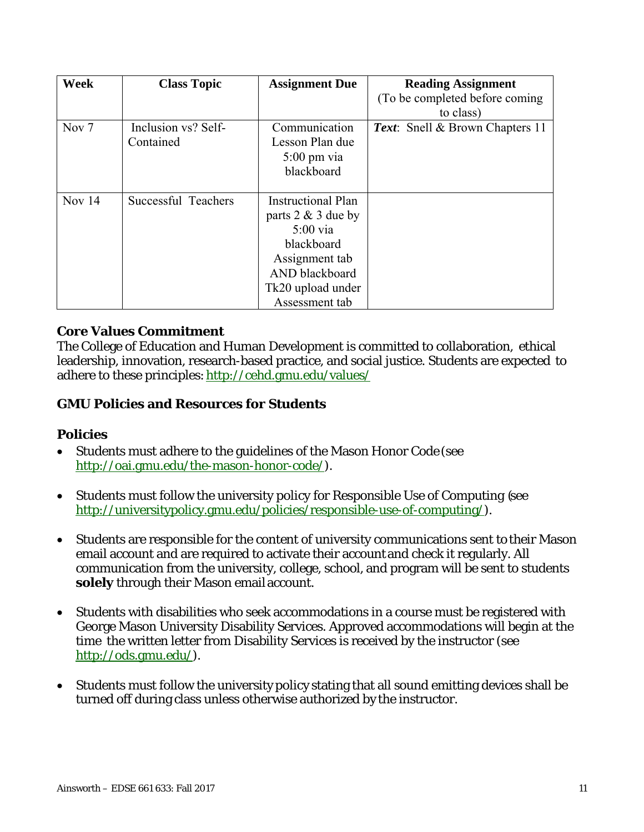| <b>Week</b>      | <b>Class Topic</b>  | <b>Assignment Due</b>     | <b>Reading Assignment</b>              |
|------------------|---------------------|---------------------------|----------------------------------------|
|                  |                     |                           | (To be completed before coming)        |
|                  |                     |                           | to class)                              |
| Nov <sub>7</sub> | Inclusion vs? Self- | Communication             | <b>Text:</b> Snell & Brown Chapters 11 |
|                  | Contained           | Lesson Plan due           |                                        |
|                  |                     | $5:00 \text{ pm via}$     |                                        |
|                  |                     | blackboard                |                                        |
|                  |                     |                           |                                        |
| Nov $14$         | Successful Teachers | <b>Instructional Plan</b> |                                        |
|                  |                     | parts $2 \& 3$ due by     |                                        |
|                  |                     | $5:00$ via                |                                        |
|                  |                     | blackboard                |                                        |
|                  |                     | Assignment tab            |                                        |
|                  |                     | AND blackboard            |                                        |
|                  |                     | Tk20 upload under         |                                        |
|                  |                     | Assessment tab            |                                        |

## **Core Values Commitment**

The College of Education and Human Development is committed to collaboration, ethical leadership, innovation, research-based practice, and social justice. Students are expected to adhere to these principles: http://cehd.gmu.edu/values/

## **GMU Policies and Resources for Students**

## **Policies**

- Students must adhere to the guidelines of the Mason Honor Code (see http://oai.gmu.edu/the-mason-honor-code/).
- Students must follow the university policy for Responsible Use of Computing (see http://universitypolicy.gmu.edu/policies/responsible-use-of-computing/).
- Students are responsible for the content of university communications sent to their Mason email account and are required to activate their account and check it regularly. All communication from the university, college, school, and program will be sent to students **solely** through their Mason email account.
- Students with disabilities who seek accommodations in a course must be registered with George Mason University Disability Services. Approved accommodations will begin at the time the written letter from Disability Services is received by the instructor (see http://ods.gmu.edu/).
- Students must follow the university policy stating that all sound emitting devices shall be turned off during class unless otherwise authorized by the instructor.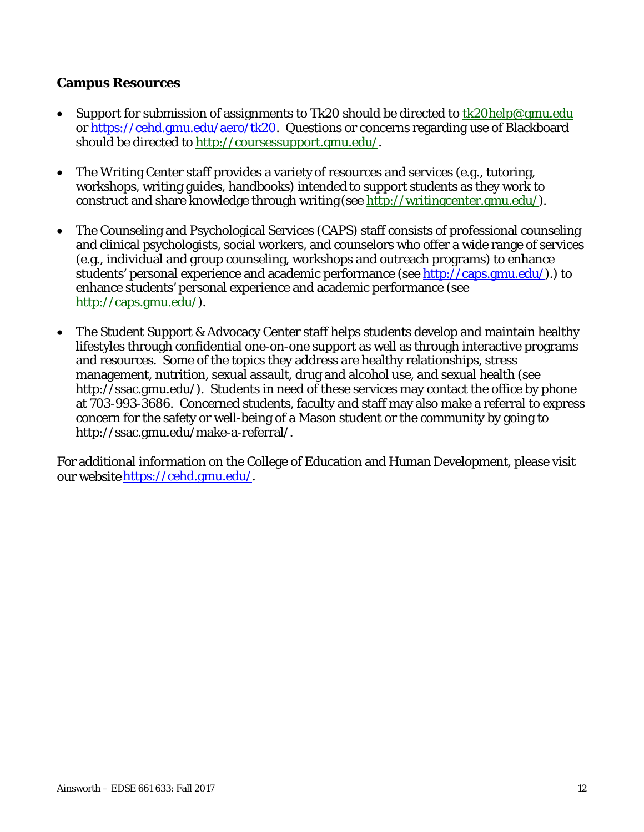### **Campus Resources**

- Support for submission of assignments to Tk20 should be directed to tk20help@gmu.edu or https://cehd.gmu.edu/aero/tk20. Questions or concerns regarding use of Blackboard should be directed to http://coursessupport.gmu.edu/.
- The Writing Center staff provides a variety of resources and services (e.g., tutoring, workshops, writing guides, handbooks) intended to support students as they work to construct and share knowledge through writing (see http://writingcenter.gmu.edu/).
- The Counseling and Psychological Services (CAPS) staff consists of professional counseling and clinical psychologists, social workers, and counselors who offer a wide range of services (e.g., individual and group counseling, workshops and outreach programs) to enhance students' personal experience and academic performance (see http://caps.gmu.edu/).) to enhance students' personal experience and academic performance (see http://caps.gmu.edu/).
- The Student Support & Advocacy Center staff helps students develop and maintain healthy lifestyles through confidential one-on-one support as well as through interactive programs and resources. Some of the topics they address are healthy relationships, stress management, nutrition, sexual assault, drug and alcohol use, and sexual health (see http://ssac.gmu.edu/). Students in need of these services may contact the office by phone at 703-993-3686. Concerned students, faculty and staff may also make a referral to express concern for the safety or well-being of a Mason student or the community by going to http://ssac.gmu.edu/make-a-referral/.

For additional information on the College of Education and Human Development, please visit our website https://cehd.gmu.edu/.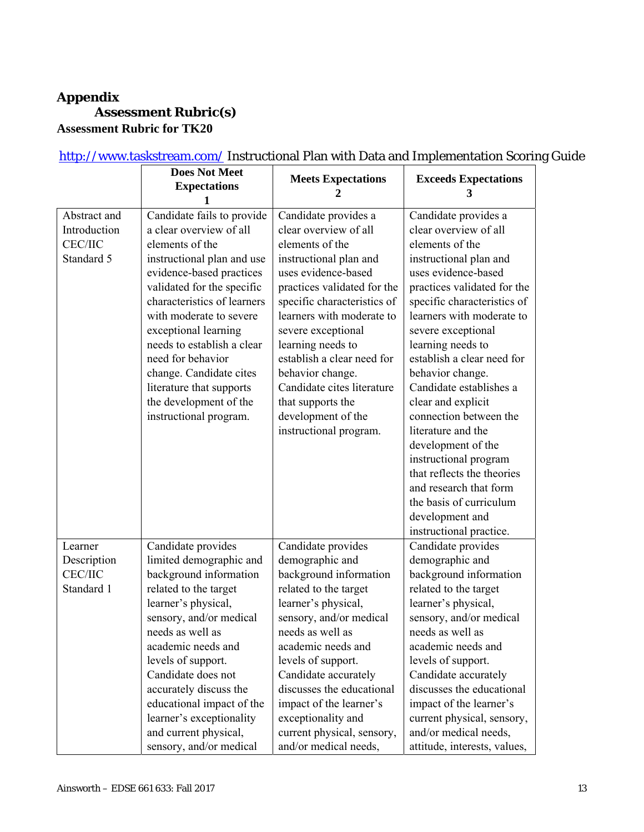#### **Appendix Assessment Rubric(s) Assessment Rubric for TK20**

**Does Not Meet Expectations 1 Meets Expectations 2 Exceeds Expectations 3**  Abstract and Introduction CEC/IIC Standard 5 Candidate fails to provide a clear overview of all elements of the instructional plan and use evidence-based practices validated for the specific characteristics of learners with moderate to severe exceptional learning needs to establish a clear need for behavior change. Candidate cites literature that supports the development of the instructional program. Candidate provides a clear overview of all elements of the instructional plan and uses evidence-based practices validated for the specific characteristics of learners with moderate to severe exceptional learning needs to establish a clear need for behavior change. Candidate cites literature that supports the development of the instructional program. Candidate provides a clear overview of all elements of the instructional plan and uses evidence-based practices validated for the specific characteristics of learners with moderate to severe exceptional learning needs to establish a clear need for behavior change. Candidate establishes a clear and explicit connection between the literature and the development of the instructional program that reflects the theories and research that form the basis of curriculum development and instructional practice. Learner Description CEC/IIC Standard 1 Candidate provides limited demographic and background information related to the target learner's physical, sensory, and/or medical needs as well as academic needs and levels of support. Candidate does not accurately discuss the educational impact of the learner's exceptionality and current physical, sensory, and/or medical Candidate provides demographic and background information related to the target learner's physical, sensory, and/or medical needs as well as academic needs and levels of support. Candidate accurately discusses the educational impact of the learner's exceptionality and current physical, sensory, and/or medical needs, Candidate provides demographic and background information related to the target learner's physical, sensory, and/or medical needs as well as academic needs and levels of support. Candidate accurately discusses the educational impact of the learner's current physical, sensory, and/or medical needs, attitude, interests, values,

#### http://www.taskstream.com/ Instructional Plan with Data and Implementation Scoring Guide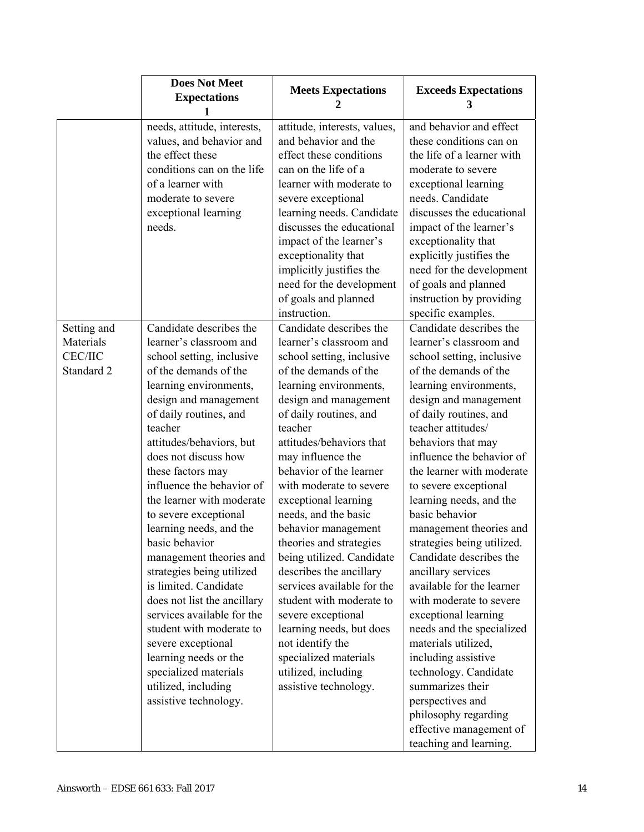|                                           | <b>Does Not Meet</b><br><b>Expectations</b>                                                                                                                                                                                                                                                                                                                                                                                                                                                                                                                                                                                                                                      | <b>Meets Expectations</b><br>2                                                                                                                                                                                                                                                                                                                                                                                                                                                                                                                                                                                                                  | <b>Exceeds Expectations</b><br>3                                                                                                                                                                                                                                                                                                                                                                                                                                                                                                                                                                                                                                                                                                                          |
|-------------------------------------------|----------------------------------------------------------------------------------------------------------------------------------------------------------------------------------------------------------------------------------------------------------------------------------------------------------------------------------------------------------------------------------------------------------------------------------------------------------------------------------------------------------------------------------------------------------------------------------------------------------------------------------------------------------------------------------|-------------------------------------------------------------------------------------------------------------------------------------------------------------------------------------------------------------------------------------------------------------------------------------------------------------------------------------------------------------------------------------------------------------------------------------------------------------------------------------------------------------------------------------------------------------------------------------------------------------------------------------------------|-----------------------------------------------------------------------------------------------------------------------------------------------------------------------------------------------------------------------------------------------------------------------------------------------------------------------------------------------------------------------------------------------------------------------------------------------------------------------------------------------------------------------------------------------------------------------------------------------------------------------------------------------------------------------------------------------------------------------------------------------------------|
| Setting and                               | needs, attitude, interests,<br>values, and behavior and<br>the effect these<br>conditions can on the life<br>of a learner with<br>moderate to severe<br>exceptional learning<br>needs.<br>Candidate describes the                                                                                                                                                                                                                                                                                                                                                                                                                                                                | attitude, interests, values,<br>and behavior and the<br>effect these conditions<br>can on the life of a<br>learner with moderate to<br>severe exceptional<br>learning needs. Candidate<br>discusses the educational<br>impact of the learner's<br>exceptionality that<br>implicitly justifies the<br>need for the development<br>of goals and planned<br>instruction.<br>Candidate describes the                                                                                                                                                                                                                                                | and behavior and effect<br>these conditions can on<br>the life of a learner with<br>moderate to severe<br>exceptional learning<br>needs. Candidate<br>discusses the educational<br>impact of the learner's<br>exceptionality that<br>explicitly justifies the<br>need for the development<br>of goals and planned<br>instruction by providing<br>specific examples.<br>Candidate describes the                                                                                                                                                                                                                                                                                                                                                            |
| Materials<br><b>CEC/IIC</b><br>Standard 2 | learner's classroom and<br>school setting, inclusive<br>of the demands of the<br>learning environments,<br>design and management<br>of daily routines, and<br>teacher<br>attitudes/behaviors, but<br>does not discuss how<br>these factors may<br>influence the behavior of<br>the learner with moderate<br>to severe exceptional<br>learning needs, and the<br>basic behavior<br>management theories and<br>strategies being utilized<br>is limited. Candidate<br>does not list the ancillary<br>services available for the<br>student with moderate to<br>severe exceptional<br>learning needs or the<br>specialized materials<br>utilized, including<br>assistive technology. | learner's classroom and<br>school setting, inclusive<br>of the demands of the<br>learning environments,<br>design and management<br>of daily routines, and<br>teacher<br>attitudes/behaviors that<br>may influence the<br>behavior of the learner<br>with moderate to severe<br>exceptional learning<br>needs, and the basic<br>behavior management<br>theories and strategies<br>being utilized. Candidate<br>describes the ancillary<br>services available for the<br>student with moderate to<br>severe exceptional<br>learning needs, but does<br>not identify the<br>specialized materials<br>utilized, including<br>assistive technology. | learner's classroom and<br>school setting, inclusive<br>of the demands of the<br>learning environments,<br>design and management<br>of daily routines, and<br>teacher attitudes/<br>behaviors that may<br>influence the behavior of<br>the learner with moderate<br>to severe exceptional<br>learning needs, and the<br>basic behavior<br>management theories and<br>strategies being utilized.<br>Candidate describes the<br>ancillary services<br>available for the learner<br>with moderate to severe<br>exceptional learning<br>needs and the specialized<br>materials utilized,<br>including assistive<br>technology. Candidate<br>summarizes their<br>perspectives and<br>philosophy regarding<br>effective management of<br>teaching and learning. |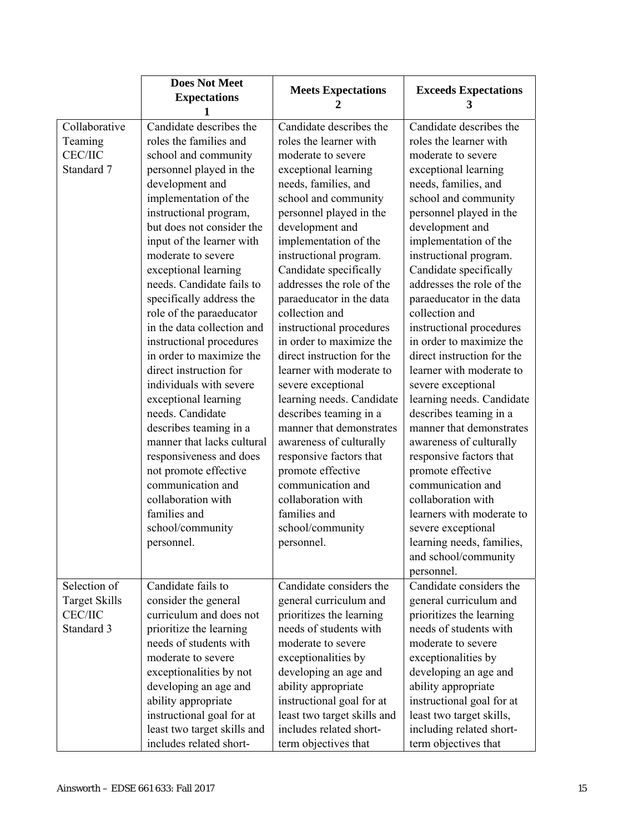|                      | <b>Does Not Meet</b><br><b>Expectations</b> | <b>Meets Expectations</b>   | <b>Exceeds Expectations</b><br>3 |
|----------------------|---------------------------------------------|-----------------------------|----------------------------------|
| Collaborative        | Candidate describes the                     | Candidate describes the     | Candidate describes the          |
| Teaming              | roles the families and                      | roles the learner with      | roles the learner with           |
| <b>CEC/IIC</b>       | school and community                        | moderate to severe          | moderate to severe               |
| Standard 7           | personnel played in the                     | exceptional learning        | exceptional learning             |
|                      | development and                             | needs, families, and        | needs, families, and             |
|                      | implementation of the                       | school and community        | school and community             |
|                      | instructional program,                      | personnel played in the     | personnel played in the          |
|                      | but does not consider the                   | development and             | development and                  |
|                      | input of the learner with                   | implementation of the       | implementation of the            |
|                      | moderate to severe                          | instructional program.      | instructional program.           |
|                      | exceptional learning                        | Candidate specifically      | Candidate specifically           |
|                      | needs. Candidate fails to                   | addresses the role of the   | addresses the role of the        |
|                      | specifically address the                    | paraeducator in the data    | paraeducator in the data         |
|                      | role of the paraeducator                    | collection and              | collection and                   |
|                      | in the data collection and                  | instructional procedures    | instructional procedures         |
|                      | instructional procedures                    | in order to maximize the    | in order to maximize the         |
|                      | in order to maximize the                    | direct instruction for the  | direct instruction for the       |
|                      | direct instruction for                      | learner with moderate to    | learner with moderate to         |
|                      | individuals with severe                     | severe exceptional          | severe exceptional               |
|                      | exceptional learning                        | learning needs. Candidate   | learning needs. Candidate        |
|                      | needs. Candidate                            | describes teaming in a      | describes teaming in a           |
|                      | describes teaming in a                      | manner that demonstrates    | manner that demonstrates         |
|                      | manner that lacks cultural                  | awareness of culturally     | awareness of culturally          |
|                      | responsiveness and does                     | responsive factors that     | responsive factors that          |
|                      | not promote effective                       | promote effective           | promote effective                |
|                      | communication and                           | communication and           | communication and                |
|                      | collaboration with                          | collaboration with          | collaboration with               |
|                      | families and                                | families and                | learners with moderate to        |
|                      | school/community                            | school/community            | severe exceptional               |
|                      | personnel.                                  | personnel.                  | learning needs, families         |
|                      |                                             |                             | and school/community             |
|                      |                                             |                             | personnel.                       |
| Selection of         | Candidate fails to                          | Candidate considers the     | Candidate considers the          |
| <b>Target Skills</b> | consider the general                        | general curriculum and      | general curriculum and           |
| <b>CEC/IIC</b>       | curriculum and does not                     | prioritizes the learning    | prioritizes the learning         |
| Standard 3           | prioritize the learning                     | needs of students with      | needs of students with           |
|                      | needs of students with                      | moderate to severe          | moderate to severe               |
|                      | moderate to severe                          | exceptionalities by         | exceptionalities by              |
|                      | exceptionalities by not                     | developing an age and       | developing an age and            |
|                      | developing an age and                       | ability appropriate         | ability appropriate              |
|                      | ability appropriate                         | instructional goal for at   | instructional goal for at        |
|                      | instructional goal for at                   | least two target skills and | least two target skills,         |
|                      | least two target skills and                 | includes related short-     | including related short-         |
|                      | includes related short-                     | term objectives that        | term objectives that             |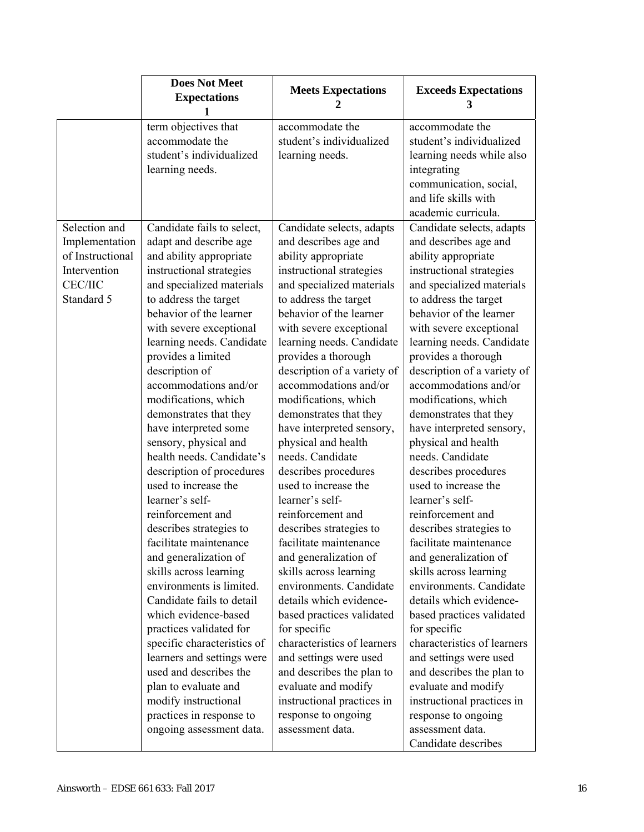| 1                                                                                                                                                                                                                                                                                                                                                                                                                                                                                                                                                                                                                                                                                                                                                                                                                                                                                                                                                                                                                                                                                                                                                                                                                                                                                                                                                                                                                                                                                                                                                                                                                                                                                                                                                                                                                                                                                                                                                                                                                                 | accommodate the                                                                                                                                                                                                                                                                                                                                                                                                                                                                                                                                                                                                                                                                                                                                                                                                                                                                                                                                                         |
|-----------------------------------------------------------------------------------------------------------------------------------------------------------------------------------------------------------------------------------------------------------------------------------------------------------------------------------------------------------------------------------------------------------------------------------------------------------------------------------------------------------------------------------------------------------------------------------------------------------------------------------------------------------------------------------------------------------------------------------------------------------------------------------------------------------------------------------------------------------------------------------------------------------------------------------------------------------------------------------------------------------------------------------------------------------------------------------------------------------------------------------------------------------------------------------------------------------------------------------------------------------------------------------------------------------------------------------------------------------------------------------------------------------------------------------------------------------------------------------------------------------------------------------------------------------------------------------------------------------------------------------------------------------------------------------------------------------------------------------------------------------------------------------------------------------------------------------------------------------------------------------------------------------------------------------------------------------------------------------------------------------------------------------|-------------------------------------------------------------------------------------------------------------------------------------------------------------------------------------------------------------------------------------------------------------------------------------------------------------------------------------------------------------------------------------------------------------------------------------------------------------------------------------------------------------------------------------------------------------------------------------------------------------------------------------------------------------------------------------------------------------------------------------------------------------------------------------------------------------------------------------------------------------------------------------------------------------------------------------------------------------------------|
| term objectives that<br>accommodate the<br>accommodate the<br>student's individualized<br>student's individualized<br>learning needs.<br>learning needs.                                                                                                                                                                                                                                                                                                                                                                                                                                                                                                                                                                                                                                                                                                                                                                                                                                                                                                                                                                                                                                                                                                                                                                                                                                                                                                                                                                                                                                                                                                                                                                                                                                                                                                                                                                                                                                                                          | student's individualized<br>learning needs while also<br>integrating<br>communication, social,<br>and life skills with<br>academic curricula.                                                                                                                                                                                                                                                                                                                                                                                                                                                                                                                                                                                                                                                                                                                                                                                                                           |
| Selection and<br>Candidate fails to select,<br>Candidate selects, adapts<br>Implementation<br>adapt and describe age<br>and describes age and<br>of Instructional<br>and ability appropriate<br>ability appropriate<br>Intervention<br>instructional strategies<br>instructional strategies<br><b>CEC/IIC</b><br>and specialized materials<br>and specialized materials<br>Standard 5<br>to address the target<br>to address the target<br>behavior of the learner<br>behavior of the learner<br>with severe exceptional<br>with severe exceptional<br>learning needs. Candidate<br>learning needs. Candidate<br>provides a limited<br>provides a thorough<br>description of<br>description of a variety of<br>accommodations and/or<br>accommodations and/or<br>modifications, which<br>modifications, which<br>demonstrates that they<br>demonstrates that they<br>have interpreted sensory,<br>have interpreted some<br>physical and health<br>sensory, physical and<br>health needs. Candidate's<br>needs. Candidate<br>description of procedures<br>describes procedures<br>used to increase the<br>used to increase the<br>learner's self-<br>learner's self-<br>reinforcement and<br>reinforcement and<br>describes strategies to<br>describes strategies to<br>facilitate maintenance<br>facilitate maintenance<br>and generalization of<br>and generalization of<br>skills across learning<br>skills across learning<br>environments is limited.<br>environments. Candidate<br>Candidate fails to detail<br>details which evidence-<br>which evidence-based<br>based practices validated<br>practices validated for<br>for specific<br>specific characteristics of<br>characteristics of learners<br>learners and settings were<br>and settings were used<br>used and describes the<br>and describes the plan to<br>plan to evaluate and<br>evaluate and modify<br>modify instructional<br>instructional practices in<br>practices in response to<br>response to ongoing<br>ongoing assessment data.<br>assessment data. | Candidate selects, adapts<br>and describes age and<br>ability appropriate<br>instructional strategies<br>and specialized materials<br>to address the target<br>behavior of the learner<br>with severe exceptional<br>learning needs. Candidate<br>provides a thorough<br>description of a variety of<br>accommodations and/or<br>modifications, which<br>demonstrates that they<br>have interpreted sensory,<br>physical and health<br>needs. Candidate<br>describes procedures<br>used to increase the<br>learner's self-<br>reinforcement and<br>describes strategies to<br>facilitate maintenance<br>and generalization of<br>skills across learning<br>environments. Candidate<br>details which evidence-<br>based practices validated<br>for specific<br>characteristics of learners<br>and settings were used<br>and describes the plan to<br>evaluate and modify<br>instructional practices in<br>response to ongoing<br>assessment data.<br>Candidate describes |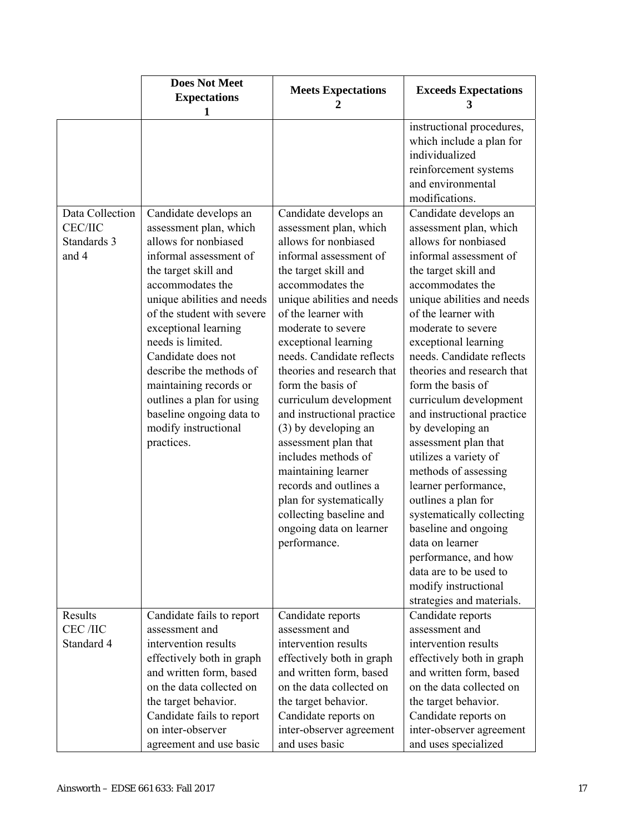|                                                           | <b>Does Not Meet</b><br><b>Expectations</b><br>1                                                                                                                                                                                                                                                                                                                                                                                 | <b>Meets Expectations</b><br>2                                                                                                                                                                                                                                                                                                                                                                                                                                                                                                                                                                                    | <b>Exceeds Expectations</b><br>3                                                                                                                                                                                                                                                                                                                                                                                                                                                                                                                                                                                                                                                                                                                                                                                                                               |
|-----------------------------------------------------------|----------------------------------------------------------------------------------------------------------------------------------------------------------------------------------------------------------------------------------------------------------------------------------------------------------------------------------------------------------------------------------------------------------------------------------|-------------------------------------------------------------------------------------------------------------------------------------------------------------------------------------------------------------------------------------------------------------------------------------------------------------------------------------------------------------------------------------------------------------------------------------------------------------------------------------------------------------------------------------------------------------------------------------------------------------------|----------------------------------------------------------------------------------------------------------------------------------------------------------------------------------------------------------------------------------------------------------------------------------------------------------------------------------------------------------------------------------------------------------------------------------------------------------------------------------------------------------------------------------------------------------------------------------------------------------------------------------------------------------------------------------------------------------------------------------------------------------------------------------------------------------------------------------------------------------------|
| Data Collection<br><b>CEC/IIC</b><br>Standards 3<br>and 4 | Candidate develops an<br>assessment plan, which<br>allows for nonbiased<br>informal assessment of<br>the target skill and<br>accommodates the<br>unique abilities and needs<br>of the student with severe<br>exceptional learning<br>needs is limited.<br>Candidate does not<br>describe the methods of<br>maintaining records or<br>outlines a plan for using<br>baseline ongoing data to<br>modify instructional<br>practices. | Candidate develops an<br>assessment plan, which<br>allows for nonbiased<br>informal assessment of<br>the target skill and<br>accommodates the<br>unique abilities and needs<br>of the learner with<br>moderate to severe<br>exceptional learning<br>needs. Candidate reflects<br>theories and research that<br>form the basis of<br>curriculum development<br>and instructional practice<br>(3) by developing an<br>assessment plan that<br>includes methods of<br>maintaining learner<br>records and outlines a<br>plan for systematically<br>collecting baseline and<br>ongoing data on learner<br>performance. | instructional procedures,<br>which include a plan for<br>individualized<br>reinforcement systems<br>and environmental<br>modifications.<br>Candidate develops an<br>assessment plan, which<br>allows for nonbiased<br>informal assessment of<br>the target skill and<br>accommodates the<br>unique abilities and needs<br>of the learner with<br>moderate to severe<br>exceptional learning<br>needs. Candidate reflects<br>theories and research that<br>form the basis of<br>curriculum development<br>and instructional practice<br>by developing an<br>assessment plan that<br>utilizes a variety of<br>methods of assessing<br>learner performance,<br>outlines a plan for<br>systematically collecting<br>baseline and ongoing<br>data on learner<br>performance, and how<br>data are to be used to<br>modify instructional<br>strategies and materials. |
| Results<br>CEC /IIC                                       | Candidate fails to report<br>assessment and                                                                                                                                                                                                                                                                                                                                                                                      | Candidate reports<br>assessment and                                                                                                                                                                                                                                                                                                                                                                                                                                                                                                                                                                               | Candidate reports<br>assessment and                                                                                                                                                                                                                                                                                                                                                                                                                                                                                                                                                                                                                                                                                                                                                                                                                            |
| Standard 4                                                | intervention results<br>effectively both in graph                                                                                                                                                                                                                                                                                                                                                                                | intervention results<br>effectively both in graph                                                                                                                                                                                                                                                                                                                                                                                                                                                                                                                                                                 | intervention results<br>effectively both in graph                                                                                                                                                                                                                                                                                                                                                                                                                                                                                                                                                                                                                                                                                                                                                                                                              |
|                                                           | and written form, based                                                                                                                                                                                                                                                                                                                                                                                                          | and written form, based                                                                                                                                                                                                                                                                                                                                                                                                                                                                                                                                                                                           | and written form, based                                                                                                                                                                                                                                                                                                                                                                                                                                                                                                                                                                                                                                                                                                                                                                                                                                        |
|                                                           | on the data collected on                                                                                                                                                                                                                                                                                                                                                                                                         | on the data collected on                                                                                                                                                                                                                                                                                                                                                                                                                                                                                                                                                                                          | on the data collected on                                                                                                                                                                                                                                                                                                                                                                                                                                                                                                                                                                                                                                                                                                                                                                                                                                       |
|                                                           | the target behavior.                                                                                                                                                                                                                                                                                                                                                                                                             | the target behavior.                                                                                                                                                                                                                                                                                                                                                                                                                                                                                                                                                                                              | the target behavior.                                                                                                                                                                                                                                                                                                                                                                                                                                                                                                                                                                                                                                                                                                                                                                                                                                           |
|                                                           | Candidate fails to report                                                                                                                                                                                                                                                                                                                                                                                                        | Candidate reports on                                                                                                                                                                                                                                                                                                                                                                                                                                                                                                                                                                                              | Candidate reports on                                                                                                                                                                                                                                                                                                                                                                                                                                                                                                                                                                                                                                                                                                                                                                                                                                           |
|                                                           | on inter-observer                                                                                                                                                                                                                                                                                                                                                                                                                | inter-observer agreement                                                                                                                                                                                                                                                                                                                                                                                                                                                                                                                                                                                          | inter-observer agreement                                                                                                                                                                                                                                                                                                                                                                                                                                                                                                                                                                                                                                                                                                                                                                                                                                       |
|                                                           | agreement and use basic                                                                                                                                                                                                                                                                                                                                                                                                          | and uses basic                                                                                                                                                                                                                                                                                                                                                                                                                                                                                                                                                                                                    | and uses specialized                                                                                                                                                                                                                                                                                                                                                                                                                                                                                                                                                                                                                                                                                                                                                                                                                                           |